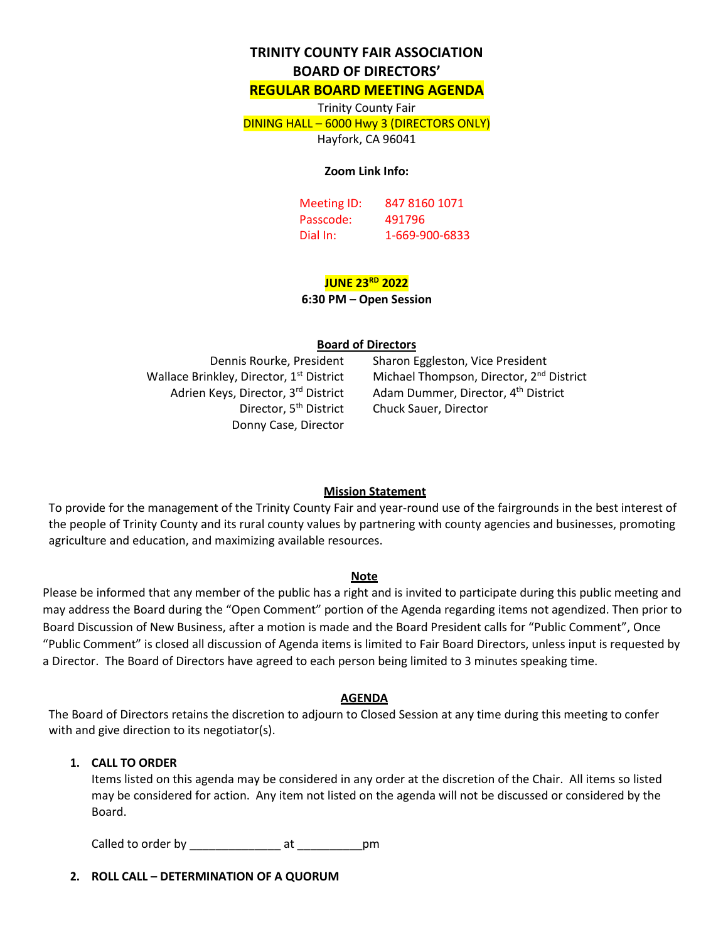# **TRINITY COUNTY FAIR ASSOCIATION BOARD OF DIRECTORS'**

#### **REGULAR BOARD MEETING AGENDA**

Trinity County Fair DINING HALL – 6000 Hwy 3 (DIRECTORS ONLY) Hayfork, CA 96041

#### **Zoom Link Info:**

Meeting ID: 847 8160 1071 Passcode: 491796 Dial In: 1-669-900-6833

# **JUNE 23RD 2022**

#### **6:30 PM – Open Session**

#### **Board of Directors**

Wallace Brinkley, Director, 1<sup>st</sup> District Adrien Keys, Director, 3rd District Director, 5<sup>th</sup> District Donny Case, Director

Dennis Rourke, President Sharon Eggleston, Vice President Michael Thompson, Director, 2<sup>nd</sup> District Adam Dummer, Director, 4<sup>th</sup> District Chuck Sauer, Director

#### **Mission Statement**

To provide for the management of the Trinity County Fair and year-round use of the fairgrounds in the best interest of the people of Trinity County and its rural county values by partnering with county agencies and businesses, promoting agriculture and education, and maximizing available resources.

#### **Note**

Please be informed that any member of the public has a right and is invited to participate during this public meeting and may address the Board during the "Open Comment" portion of the Agenda regarding items not agendized. Then prior to Board Discussion of New Business, after a motion is made and the Board President calls for "Public Comment", Once "Public Comment" is closed all discussion of Agenda items is limited to Fair Board Directors, unless input is requested by a Director. The Board of Directors have agreed to each person being limited to 3 minutes speaking time.

#### **AGENDA**

The Board of Directors retains the discretion to adjourn to Closed Session at any time during this meeting to confer with and give direction to its negotiator(s).

#### **1. CALL TO ORDER**

Items listed on this agenda may be considered in any order at the discretion of the Chair. All items so listed may be considered for action. Any item not listed on the agenda will not be discussed or considered by the Board.

Called to order by \_\_\_\_\_\_\_\_\_\_\_\_\_\_ at \_\_\_\_\_\_\_\_\_\_pm

**2. ROLL CALL – DETERMINATION OF A QUORUM**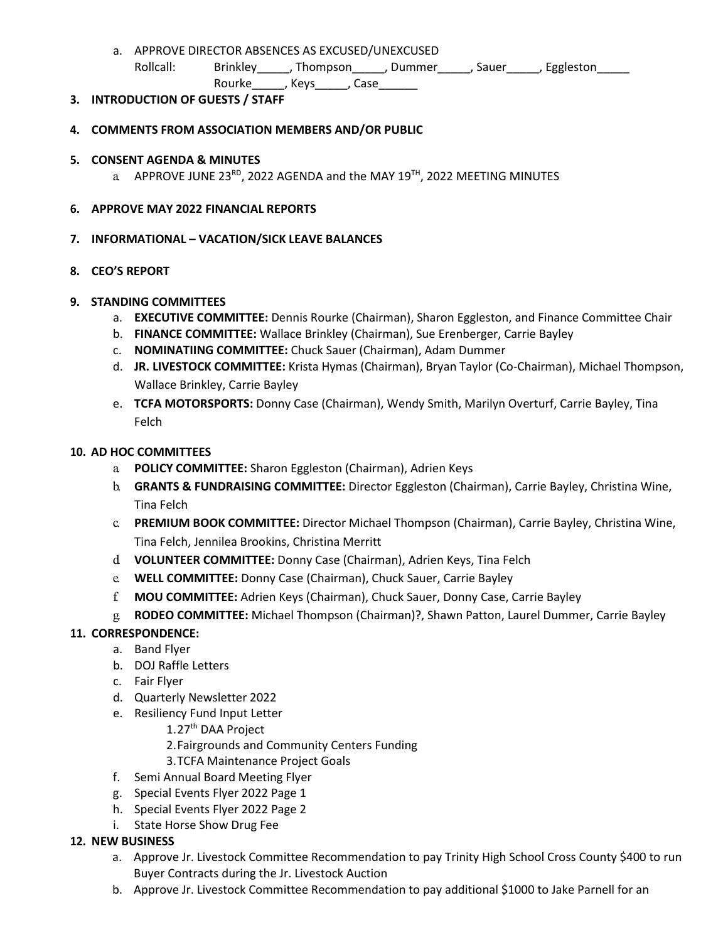a. APPROVE DIRECTOR ABSENCES AS EXCUSED/UNEXCUSED Rollcall: Brinkley\_\_\_\_\_, Thompson\_\_\_\_\_, Dummer\_\_\_\_\_, Sauer\_\_\_\_\_, Eggleston\_\_\_\_\_\_ Rourke , Keys , Case

## **3. INTRODUCTION OF GUESTS / STAFF**

## **4. COMMENTS FROM ASSOCIATION MEMBERS AND/OR PUBLIC**

- **5. CONSENT AGENDA & MINUTES**
	- a APPROVE JUNE 23<sup>RD</sup>, 2022 AGENDA and the MAY 19<sup>TH</sup>, 2022 MEETING MINUTES

## **6. APPROVE MAY 2022 FINANCIAL REPORTS**

## **7. INFORMATIONAL – VACATION/SICK LEAVE BALANCES**

## **8. CEO'S REPORT**

## **9. STANDING COMMITTEES**

- a. **EXECUTIVE COMMITTEE:** Dennis Rourke (Chairman), Sharon Eggleston, and Finance Committee Chair
- b. **FINANCE COMMITTEE:** Wallace Brinkley (Chairman), Sue Erenberger, Carrie Bayley
- c. **NOMINATIING COMMITTEE:** Chuck Sauer (Chairman), Adam Dummer
- d. **JR. LIVESTOCK COMMITTEE:** Krista Hymas (Chairman), Bryan Taylor (Co-Chairman), Michael Thompson, Wallace Brinkley, Carrie Bayley
- e. **TCFA MOTORSPORTS:** Donny Case (Chairman), Wendy Smith, Marilyn Overturf, Carrie Bayley, Tina Felch

## **10. AD HOC COMMITTEES**

- a. **POLICY COMMITTEE:** Sharon Eggleston (Chairman), Adrien Keys
- b. **GRANTS & FUNDRAISING COMMITTEE:** Director Eggleston (Chairman), Carrie Bayley, Christina Wine, Tina Felch
- c. **PREMIUM BOOK COMMITTEE:** Director Michael Thompson (Chairman), Carrie Bayley, Christina Wine, Tina Felch, Jennilea Brookins, Christina Merritt
- d. **VOLUNTEER COMMITTEE:** Donny Case (Chairman), Adrien Keys, Tina Felch
- e. **WELL COMMITTEE:** Donny Case (Chairman), Chuck Sauer, Carrie Bayley
- f. **MOU COMMITTEE:** Adrien Keys (Chairman), Chuck Sauer, Donny Case, Carrie Bayley
- g. **RODEO COMMITTEE:** Michael Thompson (Chairman)?, Shawn Patton, Laurel Dummer, Carrie Bayley

## **11. CORRESPONDENCE:**

- a. Band Flyer
- b. DOJ Raffle Letters
- c. Fair Flyer
- d. Quarterly Newsletter 2022
- e. Resiliency Fund Input Letter
	- 1.27<sup>th</sup> DAA Project
	- 2.Fairgrounds and Community Centers Funding
	- 3.TCFA Maintenance Project Goals
- f. Semi Annual Board Meeting Flyer
- g. Special Events Flyer 2022 Page 1
- h. Special Events Flyer 2022 Page 2
- i. State Horse Show Drug Fee

## **12. NEW BUSINESS**

- a. Approve Jr. Livestock Committee Recommendation to pay Trinity High School Cross County \$400 to run Buyer Contracts during the Jr. Livestock Auction
- b. Approve Jr. Livestock Committee Recommendation to pay additional \$1000 to Jake Parnell for an